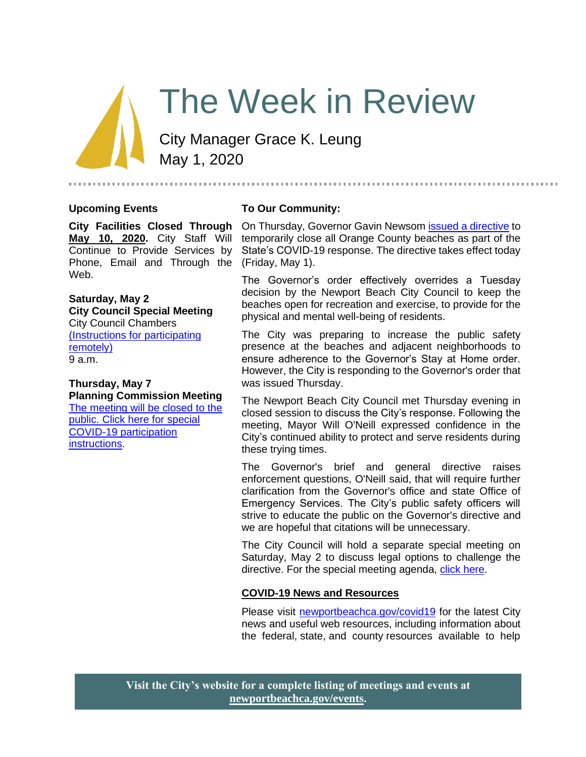# The Week in Review

City Manager Grace K. Leung May 1, 2020

#### **Upcoming Events**

#### **To Our Community:**

**May 10, 2020.** City Staff Will Continue to Provide Services by Phone, Email and Through the (Friday, May 1). Web.

#### **Saturday, May 2 City Council Special Meeting** City Council Chambers [\(Instructions for participating](https://www.newportbeachca.gov/Home/Components/Calendar/Event/63512/72)  [remotely\)](https://www.newportbeachca.gov/Home/Components/Calendar/Event/63512/72) 9 a.m.

## **Thursday, May 7 Planning Commission Meeting**

[The meeting will be closed to the](https://www.newportbeachca.gov/government/departments/community-development/planning-division/planning-commission)  [public. Click here for special](https://www.newportbeachca.gov/government/departments/community-development/planning-division/planning-commission)  [COVID-19 participation](https://www.newportbeachca.gov/government/departments/community-development/planning-division/planning-commission)  [instructions.](https://www.newportbeachca.gov/government/departments/community-development/planning-division/planning-commission)

**City Facilities Closed Through**  On Thursday, Governor Gavin Newsom [issued a directive](https://www.newportbeachca.gov/home/showdocument?id=66749) to temporarily close all Orange County beaches as part of the State's COVID-19 response. The directive takes effect today

...............................

The Governor's order effectively overrides a Tuesday decision by the Newport Beach City Council to keep the beaches open for recreation and exercise, to provide for the physical and mental well-being of residents.

The City was preparing to increase the public safety presence at the beaches and adjacent neighborhoods to ensure adherence to the Governor's Stay at Home order. However, the City is responding to the Governor's order that was issued Thursday.

The Newport Beach City Council met Thursday evening in closed session to discuss the City's response. Following the meeting, Mayor Will O'Neill expressed confidence in the City's continued ability to protect and serve residents during these trying times.

The Governor's brief and general directive raises enforcement questions, O'Neill said, that will require further clarification from the Governor's office and state Office of Emergency Services. The City's public safety officers will strive to educate the public on the Governor's directive and we are hopeful that citations will be unnecessary.

The City Council will hold a separate special meeting on Saturday, May 2 to discuss legal options to challenge the directive. For the special meeting agenda, [click here.](https://newportbeach.legistar1.com/newportbeach/meetings/2020/5/2652_A_City_Council_-_Special_Meeting_20-05-02_BCC_Agenda.pdf?id=1a8eb6df-82de-4a1d-ae2c-2f8434f4adc7)

#### **COVID-19 News and Resources**

Please visit [newportbeachca.gov/covid19](https://www.newportbeachca.gov/how-do-i/find/disaster-preparedness-information/disease-outbreak/-fsiteid-1) for the latest City news and useful web resources, including information about the federal, state, and county resources available to help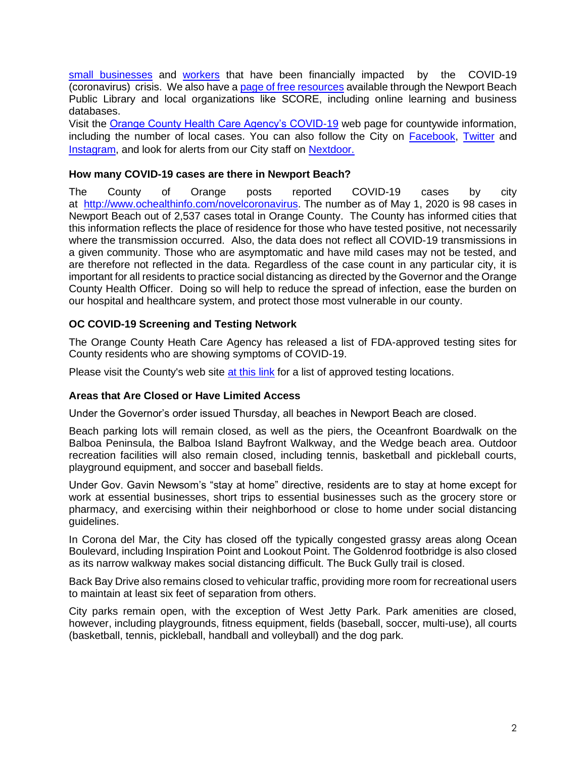[small businesses](https://www.newportbeachca.gov/government/departments/city-manager/economic-development/small-business-support) and [workers](https://www.newportbeachca.gov/government/departments/city-manager/economic-development/support-for-employees) that have been financially impacted by the COVID-19 (coronavirus) crisis. We also have a [page of free resources](https://www.newportbeachca.gov/government/departments/city-manager/economic-development/small-business-support/business-employee-resources) available through the Newport Beach Public Library and local organizations like SCORE, including online learning and business databases.

Visit the [Orange County Health Care Agency's COVID-19](https://www.ochealthinfo.com/phs/about/epidasmt/epi/dip/prevention/novel_coronavirus) web page for countywide information, including the number of local cases. You can also follow the City on **Facebook**, [Twitter](https://twitter.com/newportbeachgov) and [Instagram,](https://www.instagram.com/cityofnewportbeach/) and look for alerts from our City staff on [Nextdoor.](https://nextdoor.com/agency/city-of-newport-beach/?i=ltdytbjdbdkntfqttgcm)

#### **How many COVID-19 cases are there in Newport Beach?**

The County of Orange posts reported COVID-19 cases by city at [http://www.ochealthinfo.com/novelcoronavirus.](http://www.ochealthinfo.com/novelcoronavirus) The number as of May 1, 2020 is 98 cases in Newport Beach out of 2,537 cases total in Orange County. The County has informed cities that this information reflects the place of residence for those who have tested positive, not necessarily where the transmission occurred. Also, the data does not reflect all COVID-19 transmissions in a given community. Those who are asymptomatic and have mild cases may not be tested, and are therefore not reflected in the data. Regardless of the case count in any particular city, it is important for all residents to practice social distancing as directed by the Governor and the Orange County Health Officer. Doing so will help to reduce the spread of infection, ease the burden on our hospital and healthcare system, and protect those most vulnerable in our county.

#### **OC COVID-19 Screening and Testing Network**

The Orange County Heath Care Agency has released a list of FDA-approved testing sites for County residents who are showing symptoms of COVID-19.

Please visit the County's web site [at this link](https://occovid19.ochealthinfo.com/covid-19-testing-and-screening) for a list of approved testing locations.

#### **Areas that Are Closed or Have Limited Access**

Under the Governor's order issued Thursday, all beaches in Newport Beach are closed.

Beach parking lots will remain closed, as well as the piers, the Oceanfront Boardwalk on the Balboa Peninsula, the Balboa Island Bayfront Walkway, and the Wedge beach area. Outdoor recreation facilities will also remain closed, including tennis, basketball and pickleball courts, playground equipment, and soccer and baseball fields.

Under Gov. Gavin Newsom's "stay at home" directive, residents are to stay at home except for work at essential businesses, short trips to essential businesses such as the grocery store or pharmacy, and exercising within their neighborhood or close to home under social distancing guidelines.

In Corona del Mar, the City has closed off the typically congested grassy areas along Ocean Boulevard, including Inspiration Point and Lookout Point. The Goldenrod footbridge is also closed as its narrow walkway makes social distancing difficult. The Buck Gully trail is closed.

Back Bay Drive also remains closed to vehicular traffic, providing more room for recreational users to maintain at least six feet of separation from others.

City parks remain open, with the exception of West Jetty Park. Park amenities are closed, however, including playgrounds, fitness equipment, fields (baseball, soccer, multi-use), all courts (basketball, tennis, pickleball, handball and volleyball) and the dog park.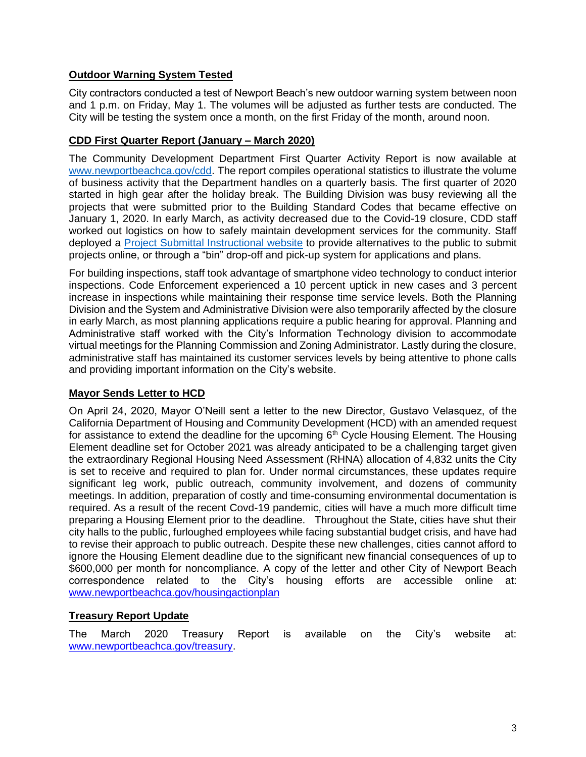## **Outdoor Warning System Tested**

City contractors conducted a test of Newport Beach's new outdoor warning system between noon and 1 p.m. on Friday, May 1. The volumes will be adjusted as further tests are conducted. The City will be testing the system once a month, on the first Friday of the month, around noon.

#### **CDD First Quarter Report (January – March 2020)**

The Community Development Department First Quarter Activity Report is now available at [www.newportbeachca.gov/cdd.](http://www.newportbeachca.gov/cdd) The report compiles operational statistics to illustrate the volume of business activity that the Department handles on a quarterly basis. The first quarter of 2020 started in high gear after the holiday break. The Building Division was busy reviewing all the projects that were submitted prior to the Building Standard Codes that became effective on January 1, 2020. In early March, as activity decreased due to the Covid-19 closure, CDD staff worked out logistics on how to safely maintain development services for the community. Staff deployed a [Project Submittal Instructional website](https://newportbeachca.gov/government/departments/community-development/online-submittal-alternatives) to provide alternatives to the public to submit projects online, or through a "bin" drop-off and pick-up system for applications and plans.

For building inspections, staff took advantage of smartphone video technology to conduct interior inspections. Code Enforcement experienced a 10 percent uptick in new cases and 3 percent increase in inspections while maintaining their response time service levels. Both the Planning Division and the System and Administrative Division were also temporarily affected by the closure in early March, as most planning applications require a public hearing for approval. Planning and Administrative staff worked with the City's Information Technology division to accommodate virtual meetings for the Planning Commission and Zoning Administrator. Lastly during the closure, administrative staff has maintained its customer services levels by being attentive to phone calls and providing important information on the City's website.

#### **Mayor Sends Letter to HCD**

On April 24, 2020, Mayor O'Neill sent a letter to the new Director, Gustavo Velasquez, of the California Department of Housing and Community Development (HCD) with an amended request for assistance to extend the deadline for the upcoming  $6<sup>th</sup>$  Cycle Housing Element. The Housing Element deadline set for October 2021 was already anticipated to be a challenging target given the extraordinary Regional Housing Need Assessment (RHNA) allocation of 4,832 units the City is set to receive and required to plan for. Under normal circumstances, these updates require significant leg work, public outreach, community involvement, and dozens of community meetings. In addition, preparation of costly and time-consuming environmental documentation is required. As a result of the recent Covd-19 pandemic, cities will have a much more difficult time preparing a Housing Element prior to the deadline. Throughout the State, cities have shut their city halls to the public, furloughed employees while facing substantial budget crisis, and have had to revise their approach to public outreach. Despite these new challenges, cities cannot afford to ignore the Housing Element deadline due to the significant new financial consequences of up to \$600,000 per month for noncompliance. A copy of the letter and other City of Newport Beach correspondence related to the City's housing efforts are accessible online at: [www.newportbeachca.gov/housingactionplan](http://www.newportbeachca.gov/housingactionplan)

## **Treasury Report Update**

The March 2020 Treasury Report is available on the City's website at: [www.newportbeachca.gov/treasury.](http://www.newportbeachca.gov/treasury)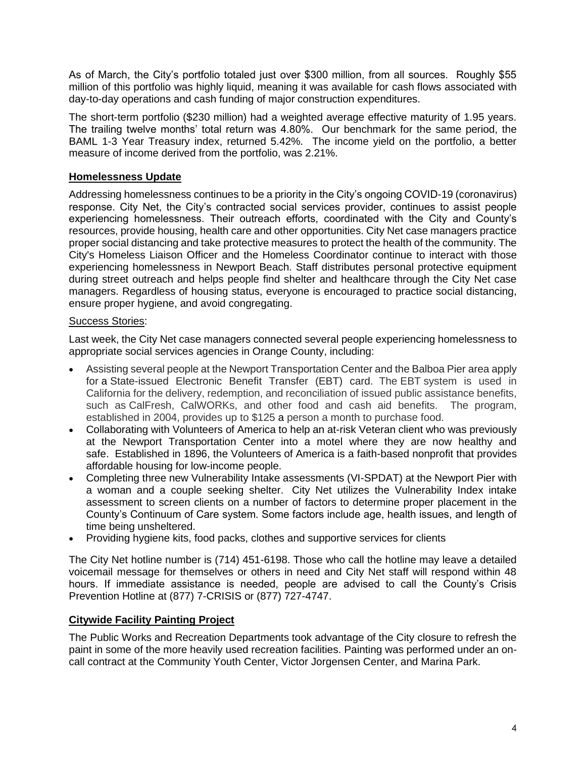As of March, the City's portfolio totaled just over \$300 million, from all sources. Roughly \$55 million of this portfolio was highly liquid, meaning it was available for cash flows associated with day-to-day operations and cash funding of major construction expenditures.

The short-term portfolio (\$230 million) had a weighted average effective maturity of 1.95 years. The trailing twelve months' total return was 4.80%. Our benchmark for the same period, the BAML 1-3 Year Treasury index, returned 5.42%. The income yield on the portfolio, a better measure of income derived from the portfolio, was 2.21%.

## **Homelessness Update**

Addressing homelessness continues to be a priority in the City's ongoing COVID-19 (coronavirus) response. City Net, the City's contracted social services provider, continues to assist people experiencing homelessness. Their outreach efforts, coordinated with the City and County's resources, provide housing, health care and other opportunities. City Net case managers practice proper social distancing and take protective measures to protect the health of the community. The City's Homeless Liaison Officer and the Homeless Coordinator continue to interact with those experiencing homelessness in Newport Beach. Staff distributes personal protective equipment during street outreach and helps people find shelter and healthcare through the City Net case managers. Regardless of housing status, everyone is encouraged to practice social distancing, ensure proper hygiene, and avoid congregating.

#### Success Stories:

Last week, the City Net case managers connected several people experiencing homelessness to appropriate social services agencies in Orange County, including:

- Assisting several people at the Newport Transportation Center and the Balboa Pier area apply for a State-issued Electronic Benefit Transfer (EBT) card. The EBT system is used in California for the delivery, redemption, and reconciliation of issued public assistance benefits, such as CalFresh, CalWORKs, and other food and cash aid benefits. The program, established in 2004, provides up to \$125 a person a month to purchase food.
- Collaborating with Volunteers of America to help an at-risk Veteran client who was previously at the Newport Transportation Center into a motel where they are now healthy and safe. Established in 1896, the Volunteers of America is a faith-based nonprofit that provides affordable housing for low-income people.
- Completing three new Vulnerability Intake assessments (VI-SPDAT) at the Newport Pier with a woman and a couple seeking shelter. City Net utilizes the Vulnerability Index intake assessment to screen clients on a number of factors to determine proper placement in the County's Continuum of Care system. Some factors include age, health issues, and length of time being unsheltered.
- Providing hygiene kits, food packs, clothes and supportive services for clients

The City Net hotline number is (714) 451-6198. Those who call the hotline may leave a detailed voicemail message for themselves or others in need and City Net staff will respond within 48 hours. If immediate assistance is needed, people are advised to call the County's Crisis Prevention Hotline at (877) 7-CRISIS or (877) 727-4747.

#### **Citywide Facility Painting Project**

The Public Works and Recreation Departments took advantage of the City closure to refresh the paint in some of the more heavily used recreation facilities. Painting was performed under an oncall contract at the Community Youth Center, Victor Jorgensen Center, and Marina Park.